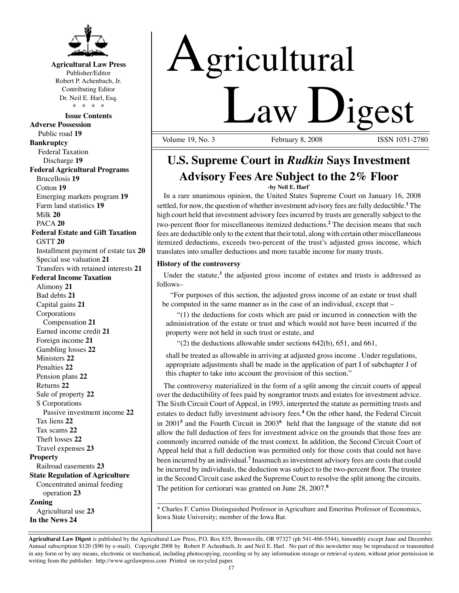

## **Agricultural Law Press**

Publisher/Editor Robert P. Achenbach, Jr. Contributing Editor Dr. Neil E. Harl, Esq. \* \* \* \*

#### **Issue Contents**

**Adverse Possession** Public road **19 Bankruptcy** Federal Taxation Discharge **19 Federal Agricultural Programs** Brucellosis **19** Cotton **19** Emerging markets program **19** Farm land statistics **19** Milk **20** PACA **20 Federal Estate and Gift Taxation** GSTT **20** Installment payment of estate tax **20** Special use valuation **21** Transfers with retained interests **21 Federal Income Taxation** Alimony **21** Bad debts **21** Capital gains **21** Corporations Compensation **21** Earned income credit **21** Foreign income **21** Gambling losses **22** Ministers **22** Penalties **22** Pension plans **22** Returns **22** Sale of property **22** S Corporations Passive investment income **22** Tax liens **22** Tax scams **22** Theft losses **22** Travel expenses **23 Property** Railroad easements **23 State Regulation of Agriculture** Concentrated animal feeding operation **23 Zoning** Agricultural use **23 In the News 24**

# Agricultural **Law Ligest**

February 8, 2008

# **U.S. Supreme Court in** *Rudkin* **Says Investment Advisory Fees Are Subject to the 2% Floor**

**-by Neil E. Harl\***

In a rare unanimous opinion, the United States Supreme Court on January 16, 2008 settled, for now, the question of whether investment advisory fees are fully deductible.**<sup>1</sup>** The high court held that investment advisory fees incurred by trusts are generally subject to the two-percent floor for miscellaneous itemized deductions.**<sup>2</sup>** The decision means that such fees are deductible only to the extent that their total, along with certain other miscellaneous itemized deductions, exceeds two-percent of the trust's adjusted gross income, which translates into smaller deductions and more taxable income for many trusts.

### **History of the controversy**

Under the statute,<sup>3</sup> the adjusted gross income of estates and trusts is addressed as follows–

"For purposes of this section, the adjusted gross income of an estate or trust shall be computed in the same manner as in the case of an individual, except that –

 "(1) the deductions for costs which are paid or incurred in connection with the administration of the estate or trust and which would not have been incurred if the property were not held in such trust or estate, and

 $(2)$  the deductions allowable under sections  $642(b)$ ,  $651$ , and  $661$ ,

shall be treated as allowable in arriving at adjusted gross income . Under regulations, appropriate adjustments shall be made in the application of part I of subchapter J of this chapter to take into account the provision of this section."

The controversy materialized in the form of a split among the circuit courts of appeal over the deductibility of fees paid by nongrantor trusts and estates for investment advice. The Sixth Circuit Court of Appeal, in 1993, interpreted the statute as permitting trusts and estates to deduct fully investment advisory fees.**<sup>4</sup>** On the other hand, the Federal Circuit in 2001**<sup>5</sup>** and the Fourth Circuit in 2003**<sup>6</sup>** held that the language of the statute did not allow the full deduction of fees for investment advice on the grounds that those fees are commonly incurred outside of the trust context. In addition, the Second Circuit Court of Appeal held that a full deduction was permitted only for those costs that could not have been incurred by an individual.<sup>7</sup> Inasmuch as investment advisory fees are costs that could be incurred by individuals, the deduction was subject to the two-percent floor. The trustee in the Second Circuit case asked the Supreme Court to resolve the split among the circuits. The petition for certiorari was granted on June 28, 2007.**<sup>8</sup>**

\_\_\_\_\_\_\_\_\_\_\_\_\_\_\_\_\_\_\_\_\_\_\_\_\_\_\_\_\_\_\_\_\_\_\_\_\_\_\_\_\_\_\_\_\_\_\_\_\_\_\_\_\_\_\_\_\_\_\_\_\_\_\_\_\_\_\_\_\_\_\_ \* Charles F. Curtiss Distinguished Professor in Agriculture and Emeritus Professor of Economics, Iowa State University; member of the Iowa Bar.

**Agricultural Law Digest** is published by the Agricultural Law Press, P.O. Box 835, Brownsville, OR 97327 (ph 541-466-5544), bimonthly except June and December. Annual subscription \$120 (\$90 by e-mail). Copyright 2008 by Robert P. Achenbach, Jr. and Neil E. Harl. No part of this newsletter may be reproduced or transmitted in any form or by any means, electronic or mechanical, including photocopying, recording or by any information storage or retrieval system, without prior permission in writing from the publisher. http://www.agrilawpress.com Printed on recycled paper.